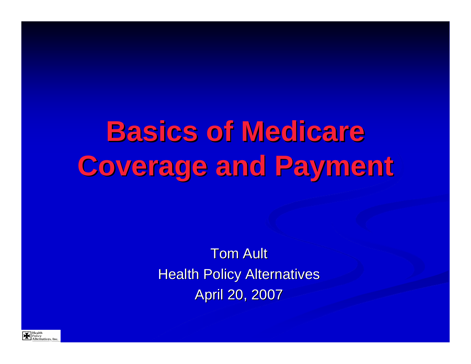**Basics of Medicare Coverage and Payment Coverage and Payment**

> **Tom Ault Health Policy Alternatives** April 20, 2007

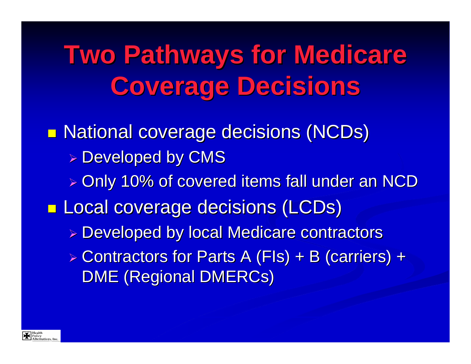**Two Pathways for Medicare Coverage Decisions Coverage Decisions**

**n National coverage decisions (NCDs) > Developed by CMS** » Only 10% of covered items fall under an NCD **T E Local coverage decisions (LCDs) Example 2 Developed by local Medicare contractors &** ► Contractors for Parts A (FIs) + B (carriers) + DME (Regional DMERCs)

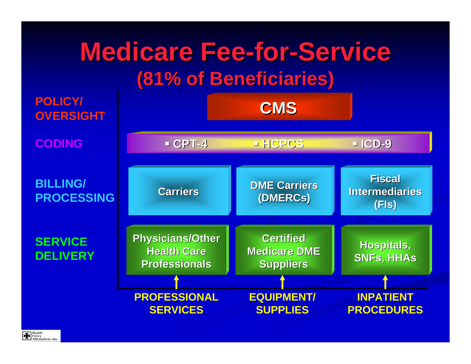

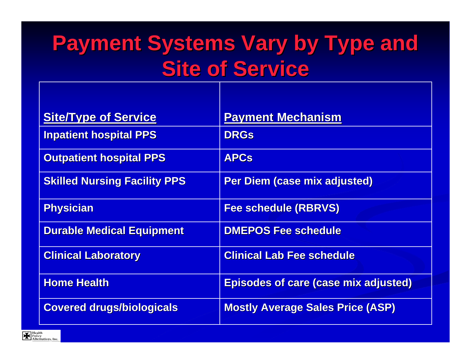## **Payment Systems Vary by Type and Site of Service Site of Service**

| <b>Site/Type of Service</b>         | <b>Payment Mechanism</b>                    |
|-------------------------------------|---------------------------------------------|
| <b>Inpatient hospital PPS</b>       | <b>DRGs</b>                                 |
| <b>Outpatient hospital PPS</b>      | <b>APCs</b>                                 |
| <b>Skilled Nursing Facility PPS</b> | <b>Per Diem (case mix adjusted)</b>         |
| <b>Physician</b>                    | <b>Fee schedule (RBRVS)</b>                 |
| <b>Durable Medical Equipment</b>    | <b>DMEPOS Fee schedule</b>                  |
| <b>Clinical Laboratory</b>          | <b>Clinical Lab Fee schedule</b>            |
| <b>Home Health</b>                  | <b>Episodes of care (case mix adjusted)</b> |
| <b>Covered drugs/biologicals</b>    | <b>Mostly Average Sales Price (ASP)</b>     |

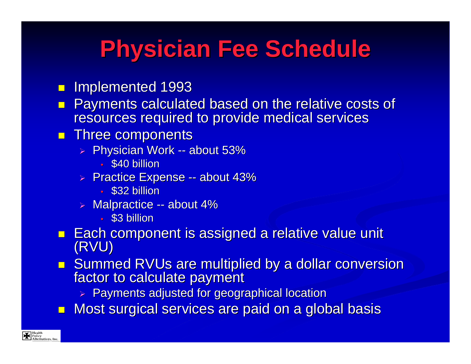## **Physician Fee Schedule Physician Fee Schedule**

- **I** Implemented 1993
- Payments calculated based on the relative costs of resources required to provide medical services
- **Three components** 
	- ⊳ Physician Work -- about 53%
		- \$40 billion
	- $\triangleright$  Practice Expense -- about 43%  $\triangleright$ 
		- \$32 billion
	- **▶ Malpractice -- about 4%** 
		- \$3 billion
- Each component is assigned a relative value unit (RVU)
- **Summed RVUs are multiplied by a dollar conversion** Summed RVUs are multiplied by a dollar conversion factor to calculate payment
	- $\triangleright$  Payments adjusted for geographical location
- $\Box$ Most surgical services are paid on a global basis

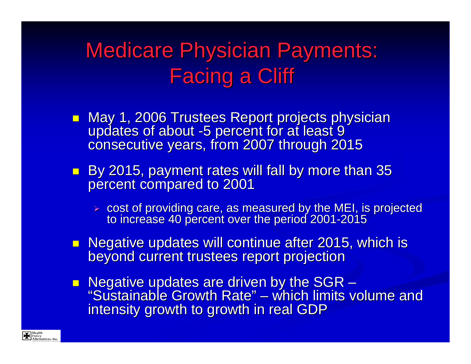### **Medicare Physician Payments: Facing a Cliff**

- May 1, 2006 Trustees Report projects physician<br>May 1, 2006 Trustees Report projects physician<br>updates of about -5 percent for at least 9 updates of about -5 percent for at least 9<sup>2</sup> consecutive years, from 2007 through 2015
- By 2015, payment rates will fall by more than 35 percent compared to 2001
	- ¾ cost of providing care, as measured by the MEI, is projected cost of providing care, as measured by the MEI, is projected to increase 40 percent over the period 2001 to increase 40 percent over the period 2001 -2015
- Negative updates will continue after 2015, which is<br>beyond current trustees report projection
- **Negative updates are driven by the SGR** – "Sustainable Growth Rate " $"$  – which limits volume and  $"$ intensity growth to growth in real GDP

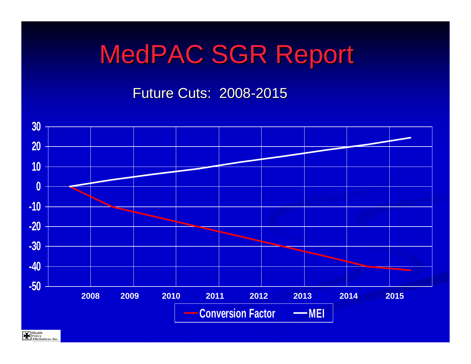# MedPAC SGR Report

Future Cuts: 2008-2015



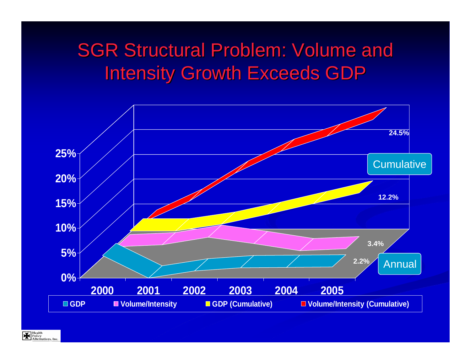#### **SGR Structural Problem: Volume and** Intensity Growth Exceeds GDP



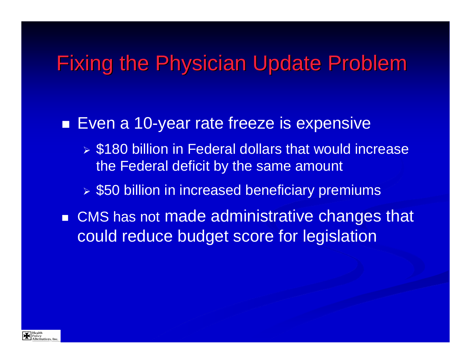#### **Fixing the Physician Update Problem**

#### ■ Even a 10-year rate freeze is expensive

- ¾ \$180 billion in Federal dollars that would increase the Federal deficit by the same amount
- ¾ \$50 billion in increased beneficiary premiums
- CMS has not made administrative changes that could reduce budget score for legislation

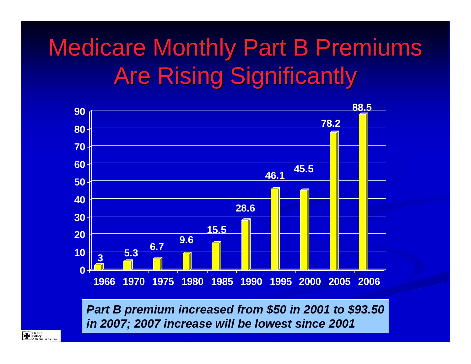# **Medicare Monthly Part B Premiums Are Rising Significantly**



*Part B premium increased from \$50 in 2001 to \$93.50 in 2007; 2007 increase will be lowest since 2001*

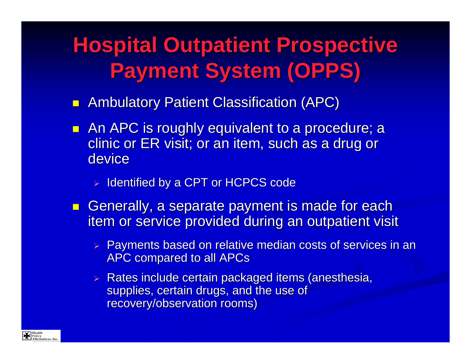## **Hospital Outpatient Prospective Hospital Outpatient Prospective Payment System (OPPS) Payment System (OPPS)**

- **Retain Ambulatory Patient Classification (APC)**
- **An APC is roughly equivalent to a procedure; a** clinic or ER visit; or an item, such as a drug or device
	- > Identified by a CPT or HCPCS code
- **Generally, a separate payment is made for each Generally, a separate payment is made for each** item or service provided during an outpatient visit
	- $\triangleright$  Payments based on relative median costs of services in an **APC compared to all APCs**
	- ► Rates include certain packaged items (anesthesia, supplies, certain drugs, and the use of recovery/observation rooms)

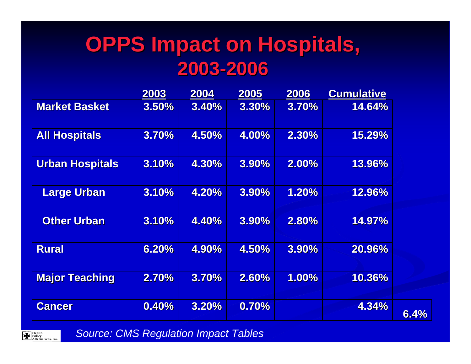#### **OPPS Impact on Hospitals, 2003 -2006**

|                        | 2003  | 2004         | 2005  | 2006  | <b>Cumulative</b> |     |
|------------------------|-------|--------------|-------|-------|-------------------|-----|
| <b>Market Basket</b>   | 3.50% | 3.40%        | 3.30% | 3.70% | 14.64%            |     |
| <b>All Hospitals</b>   | 3.70% | 4.50%        | 4.00% | 2.30% | 15.29%            |     |
| <b>Urban Hospitals</b> | 3.10% | 4.30%        | 3.90% | 2.00% | 13.96%            |     |
| <b>Large Urban</b>     | 3.10% | 4.20%        | 3.90% | 1.20% | 12.96%            |     |
| <b>Other Urban</b>     | 3.10% | 4.40%        | 3.90% | 2.80% | 14.97%            |     |
| <b>Rural</b>           | 6.20% | 4.90%        | 4.50% | 3.90% | 20.96%            |     |
| <b>Major Teaching</b>  | 2.70% | 3.70%        | 2.60% | 1.00% | 10.36%            |     |
| <b>Cancer</b>          | 0.40% | <b>3.20%</b> | 0.70% |       | 4.34%             | 6.4 |

**6.4%**



*Source: CMS Regulation Impact Tables*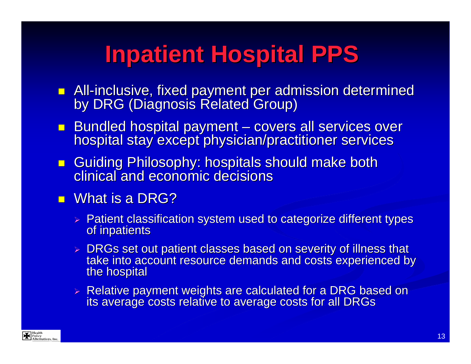## **Inpatient Hospital PPS Inpatient Hospital PPS**

- **All-inclusive, fixed payment per admission determined** by DRG (Diagnosis Related Group)
- **Bundled hospital payment** – covers all services over hospital stay except physician/practitioner services
- Guiding Philosophy: hospitals should make both<br>clinical and economic decisions clinical and economic decisions
- $\blacksquare$  What is a DRG?
	- $\triangleright$  Patient classification system used to categorize different types of inpatients
	- > DRGs set out patient classes based on severity of illness that take into account resource demands and costs experienced by the hospital
	- ► Relative payment weights are calculated for a DRG based on<br>its average costs relative to average costs for all DRGs

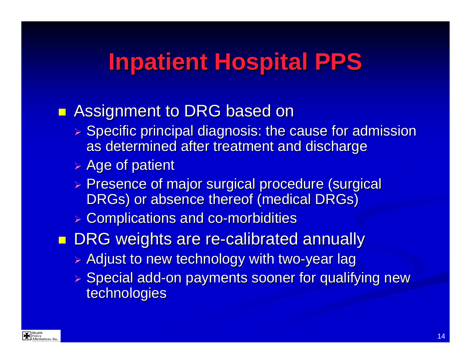## **Inpatient Hospital PPS**

#### **Ranks** Assignment to DRG based on

- $\triangleright$  Specific principal diagnosis: the cause for admission as determined after treatment and discharge
- $\triangleright$  Age of patient
- ▶ Presence of major surgical procedure (surgical DRGs) or absence thereof (medical DRGs)
- **> Complications and co-morbidities**
- **DRG weights are re-calibrated annually** 
	- $\triangleright$  Adjust to new technology with two-year lag
	- > Special add-on payments sooner for qualifying new technologies